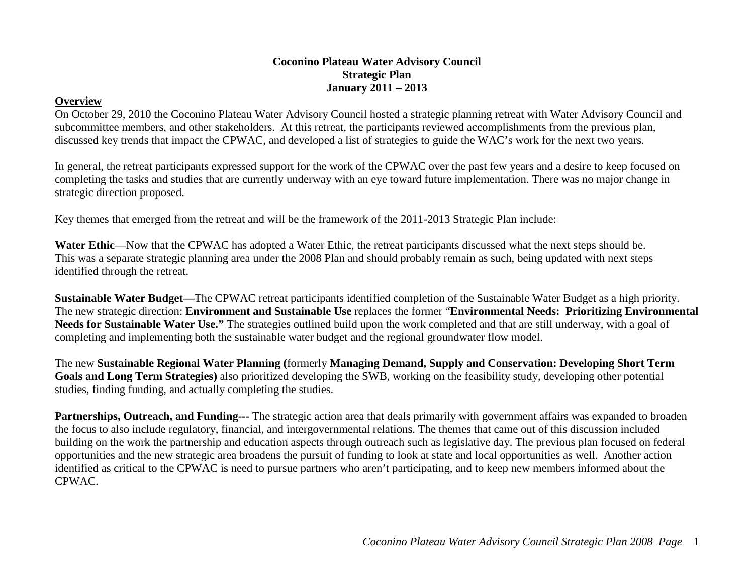#### **Coconino Plateau Water Advisory Council Strategic Plan January 2011 – 2013**

#### **Overview**

On October 29, 2010 the Coconino Plateau Water Advisory Council hosted a strategic planning retreat with Water Advisory Council and subcommittee members, and other stakeholders. At this retreat, the participants reviewed accomplishments from the previous plan, discussed key trends that impact the CPWAC, and developed a list of strategies to guide the WAC's work for the next two years.

In general, the retreat participants expressed support for the work of the CPWAC over the past few years and a desire to keep focused on completing the tasks and studies that are currently underway with an eye toward future implementation. There was no major change in strategic direction proposed.

Key themes that emerged from the retreat and will be the framework of the 2011-2013 Strategic Plan include:

Water Ethic—Now that the CPWAC has adopted a Water Ethic, the retreat participants discussed what the next steps should be. This was a separate strategic planning area under the 2008 Plan and should probably remain as such, being updated with next steps identified through the retreat.

**Sustainable Water Budget—**The CPWAC retreat participants identified completion of the Sustainable Water Budget as a high priority. The new strategic direction: **Environment and Sustainable Use** replaces the former "**Environmental Needs: Prioritizing Environmental Needs for Sustainable Water Use."** The strategies outlined build upon the work completed and that are still underway, with a goal of completing and implementing both the sustainable water budget and the regional groundwater flow model.

The new **Sustainable Regional Water Planning (**formerly **Managing Demand, Supply and Conservation: Developing Short Term Goals and Long Term Strategies)** also prioritized developing the SWB, working on the feasibility study, developing other potential studies, finding funding, and actually completing the studies.

**Partnerships, Outreach, and Funding---** The strategic action area that deals primarily with government affairs was expanded to broaden the focus to also include regulatory, financial, and intergovernmental relations. The themes that came out of this discussion included building on the work the partnership and education aspects through outreach such as legislative day. The previous plan focused on federal opportunities and the new strategic area broadens the pursuit of funding to look at state and local opportunities as well. Another action identified as critical to the CPWAC is need to pursue partners who aren't participating, and to keep new members informed about the CPWAC.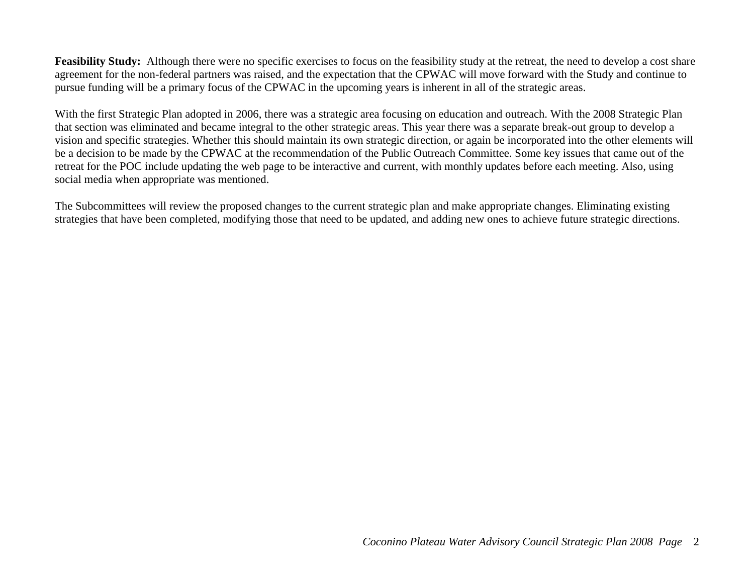Feasibility Study: Although there were no specific exercises to focus on the feasibility study at the retreat, the need to develop a cost share agreement for the non-federal partners was raised, and the expectation that the CPWAC will move forward with the Study and continue to pursue funding will be a primary focus of the CPWAC in the upcoming years is inherent in all of the strategic areas.

With the first Strategic Plan adopted in 2006, there was a strategic area focusing on education and outreach. With the 2008 Strategic Plan that section was eliminated and became integral to the other strategic areas. This year there was a separate break-out group to develop a vision and specific strategies. Whether this should maintain its own strategic direction, or again be incorporated into the other elements will be a decision to be made by the CPWAC at the recommendation of the Public Outreach Committee. Some key issues that came out of the retreat for the POC include updating the web page to be interactive and current, with monthly updates before each meeting. Also, using social media when appropriate was mentioned.

The Subcommittees will review the proposed changes to the current strategic plan and make appropriate changes. Eliminating existing strategies that have been completed, modifying those that need to be updated, and adding new ones to achieve future strategic directions.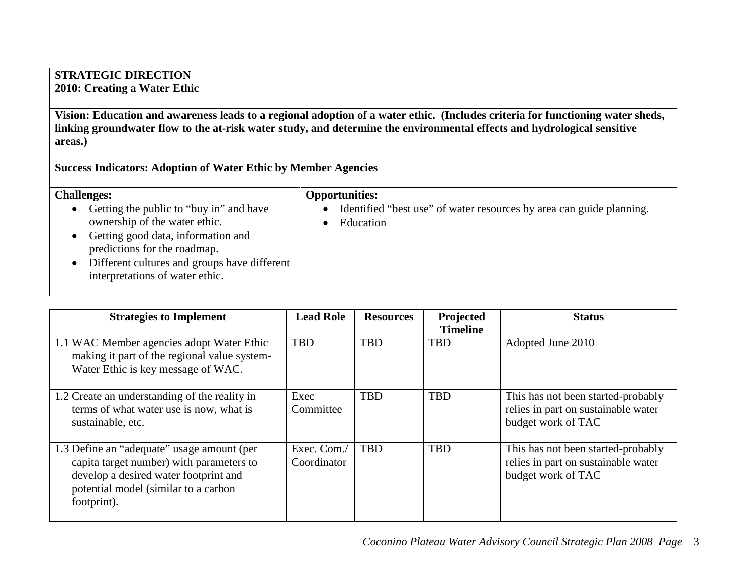### **STRATEGIC DIRECTION 2010: Creating a Water Ethic**

**Vision: Education and awareness leads to a regional adoption of a water ethic. (Includes criteria for functioning water sheds, linking groundwater flow to the at-risk water study, and determine the environmental effects and hydrological sensitive areas.)**

**Success Indicators: Adoption of Water Ethic by Member Agencies**

| <b>Challenges:</b> |
|--------------------|
|--------------------|

#### **Opportunities:**

- Identified "best use" of water resources by area can guide planning. • Education
- Getting the public to "buy in" and have ownership of the water ethic.
- Getting good data, information and predictions for the roadmap.
- Different cultures and groups have different interpretations of water ethic.

| <b>Strategies to Implement</b>                                                                                                                                                         | <b>Lead Role</b>           | <b>Resources</b> | Projected<br><b>Timeline</b> | <b>Status</b>                                                                                   |
|----------------------------------------------------------------------------------------------------------------------------------------------------------------------------------------|----------------------------|------------------|------------------------------|-------------------------------------------------------------------------------------------------|
| 1.1 WAC Member agencies adopt Water Ethic<br>making it part of the regional value system-<br>Water Ethic is key message of WAC.                                                        | <b>TBD</b>                 | <b>TBD</b>       | <b>TBD</b>                   | Adopted June 2010                                                                               |
| 1.2 Create an understanding of the reality in<br>terms of what water use is now, what is<br>sustainable, etc.                                                                          | Exec<br>Committee          | <b>TBD</b>       | <b>TBD</b>                   | This has not been started-probably<br>relies in part on sustainable water<br>budget work of TAC |
| 1.3 Define an "adequate" usage amount (per<br>capita target number) with parameters to<br>develop a desired water footprint and<br>potential model (similar to a carbon<br>footprint). | Exec. Com./<br>Coordinator | <b>TBD</b>       | <b>TBD</b>                   | This has not been started-probably<br>relies in part on sustainable water<br>budget work of TAC |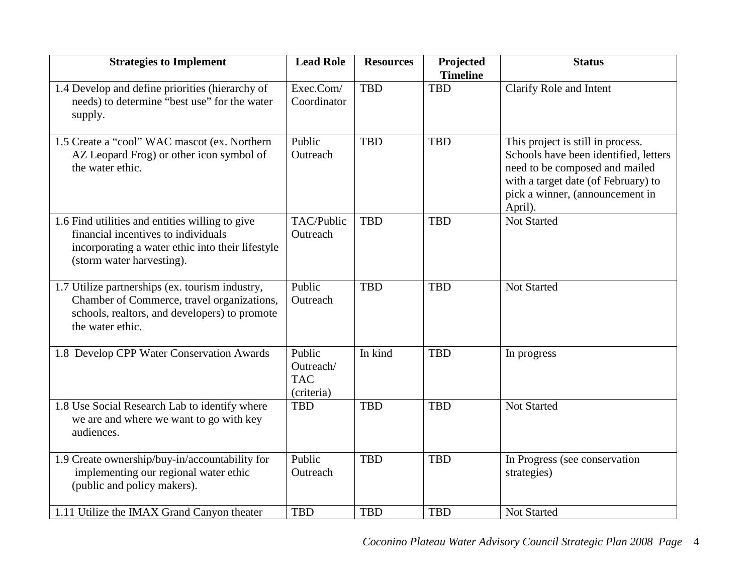| <b>Strategies to Implement</b>                                                                                                                                          | <b>Lead Role</b>                                | <b>Resources</b> | Projected<br><b>Timeline</b> | <b>Status</b>                                                                                                                                                                                     |
|-------------------------------------------------------------------------------------------------------------------------------------------------------------------------|-------------------------------------------------|------------------|------------------------------|---------------------------------------------------------------------------------------------------------------------------------------------------------------------------------------------------|
| 1.4 Develop and define priorities (hierarchy of<br>needs) to determine "best use" for the water<br>supply.                                                              | Exec.Com/<br>Coordinator                        | <b>TBD</b>       | <b>TBD</b>                   | Clarify Role and Intent                                                                                                                                                                           |
| 1.5 Create a "cool" WAC mascot (ex. Northern<br>AZ Leopard Frog) or other icon symbol of<br>the water ethic.                                                            | Public<br>Outreach                              | <b>TBD</b>       | <b>TBD</b>                   | This project is still in process.<br>Schools have been identified, letters<br>need to be composed and mailed<br>with a target date (of February) to<br>pick a winner, (announcement in<br>April). |
| 1.6 Find utilities and entities willing to give<br>financial incentives to individuals<br>incorporating a water ethic into their lifestyle<br>(storm water harvesting). | TAC/Public<br>Outreach                          | <b>TBD</b>       | <b>TBD</b>                   | <b>Not Started</b>                                                                                                                                                                                |
| 1.7 Utilize partnerships (ex. tourism industry,<br>Chamber of Commerce, travel organizations,<br>schools, realtors, and developers) to promote<br>the water ethic.      | Public<br>Outreach                              | <b>TBD</b>       | <b>TBD</b>                   | <b>Not Started</b>                                                                                                                                                                                |
| 1.8 Develop CPP Water Conservation Awards                                                                                                                               | Public<br>Outreach/<br><b>TAC</b><br>(criteria) | In kind          | <b>TBD</b>                   | In progress                                                                                                                                                                                       |
| 1.8 Use Social Research Lab to identify where<br>we are and where we want to go with key<br>audiences.                                                                  | <b>TBD</b>                                      | <b>TBD</b>       | <b>TBD</b>                   | <b>Not Started</b>                                                                                                                                                                                |
| 1.9 Create ownership/buy-in/accountability for<br>implementing our regional water ethic<br>(public and policy makers).                                                  | Public<br>Outreach                              | <b>TBD</b>       | <b>TBD</b>                   | In Progress (see conservation<br>strategies)                                                                                                                                                      |
| 1.11 Utilize the IMAX Grand Canyon theater                                                                                                                              | <b>TBD</b>                                      | <b>TBD</b>       | <b>TBD</b>                   | <b>Not Started</b>                                                                                                                                                                                |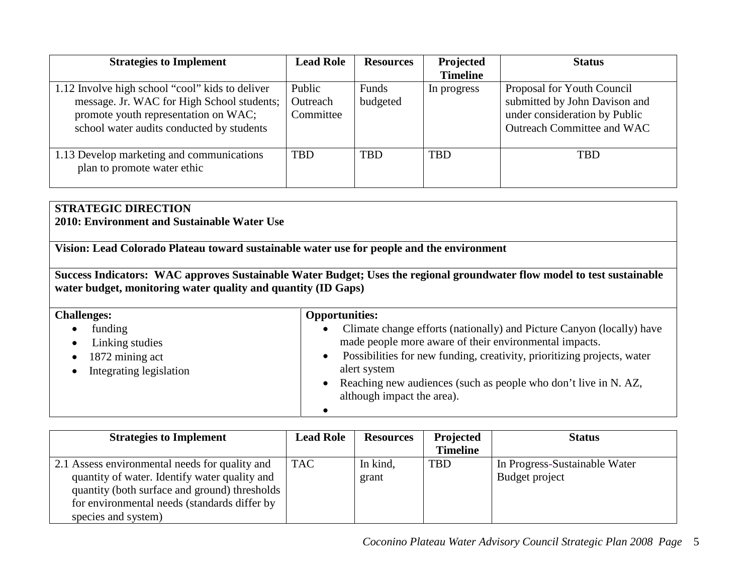| <b>Strategies to Implement</b>                                                                                                                                                     | <b>Lead Role</b>                | <b>Resources</b>  | Projected       | <b>Status</b>                                                                                                              |
|------------------------------------------------------------------------------------------------------------------------------------------------------------------------------------|---------------------------------|-------------------|-----------------|----------------------------------------------------------------------------------------------------------------------------|
|                                                                                                                                                                                    |                                 |                   | <b>Timeline</b> |                                                                                                                            |
| 1.12 Involve high school "cool" kids to deliver<br>message. Jr. WAC for High School students;<br>promote youth representation on WAC;<br>school water audits conducted by students | Public<br>Outreach<br>Committee | Funds<br>budgeted | In progress     | Proposal for Youth Council<br>submitted by John Davison and<br>under consideration by Public<br>Outreach Committee and WAC |
| 1.13 Develop marketing and communications<br>plan to promote water ethic                                                                                                           | <b>TBD</b>                      | <b>TBD</b>        | <b>TBD</b>      | <b>TBD</b>                                                                                                                 |

# **STRATEGIC DIRECTION**

**2010: Environment and Sustainable Water Use**

**Vision: Lead Colorado Plateau toward sustainable water use for people and the environment**

**Success Indicators: WAC approves Sustainable Water Budget; Uses the regional groundwater flow model to test sustainable water budget, monitoring water quality and quantity (ID Gaps)**

| <b>Challenges:</b>                                                                                                   | <b>Opportunities:</b>                                                                                                                                                                                                                                                                                                                                              |
|----------------------------------------------------------------------------------------------------------------------|--------------------------------------------------------------------------------------------------------------------------------------------------------------------------------------------------------------------------------------------------------------------------------------------------------------------------------------------------------------------|
| funding<br>٠<br>Linking studies<br>$\bullet$<br>1872 mining act<br>$\bullet$<br>Integrating legislation<br>$\bullet$ | Climate change efforts (nationally) and Picture Canyon (locally) have<br>$\bullet$<br>made people more aware of their environmental impacts.<br>Possibilities for new funding, creativity, prioritizing projects, water<br>$\bullet$<br>alert system<br>Reaching new audiences (such as people who don't live in N. AZ,<br>$\bullet$<br>although impact the area). |

| <b>Strategies to Implement</b>                 | <b>Lead Role</b> | <b>Resources</b> | Projected       | <b>Status</b>                 |
|------------------------------------------------|------------------|------------------|-----------------|-------------------------------|
|                                                |                  |                  | <b>Timeline</b> |                               |
| 2.1 Assess environmental needs for quality and | <b>TAC</b>       | In kind,         | <b>TBD</b>      | In Progress-Sustainable Water |
| quantity of water. Identify water quality and  |                  | grant            |                 | Budget project                |
| quantity (both surface and ground) thresholds  |                  |                  |                 |                               |
| for environmental needs (standards differ by   |                  |                  |                 |                               |
| species and system)                            |                  |                  |                 |                               |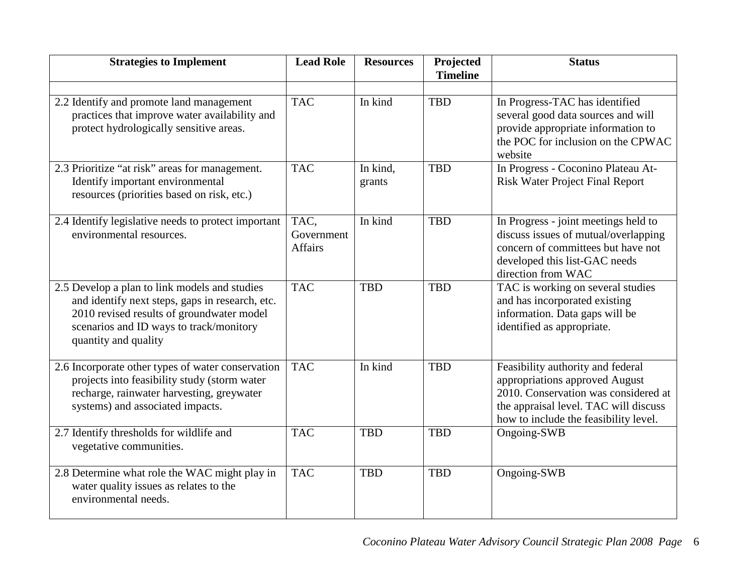| <b>Strategies to Implement</b>                                                                                                                                                                                   | <b>Lead Role</b>                     | <b>Resources</b>   | Projected<br><b>Timeline</b> | <b>Status</b>                                                                                                                                                                                 |
|------------------------------------------------------------------------------------------------------------------------------------------------------------------------------------------------------------------|--------------------------------------|--------------------|------------------------------|-----------------------------------------------------------------------------------------------------------------------------------------------------------------------------------------------|
| 2.2 Identify and promote land management<br>practices that improve water availability and<br>protect hydrologically sensitive areas.                                                                             | <b>TAC</b>                           | In kind            | <b>TBD</b>                   | In Progress-TAC has identified<br>several good data sources and will<br>provide appropriate information to<br>the POC for inclusion on the CPWAC<br>website                                   |
| 2.3 Prioritize "at risk" areas for management.<br>Identify important environmental<br>resources (priorities based on risk, etc.)                                                                                 | <b>TAC</b>                           | In kind,<br>grants | <b>TBD</b>                   | In Progress - Coconino Plateau At-<br><b>Risk Water Project Final Report</b>                                                                                                                  |
| 2.4 Identify legislative needs to protect important<br>environmental resources.                                                                                                                                  | TAC,<br>Government<br><b>Affairs</b> | In kind            | <b>TBD</b>                   | In Progress - joint meetings held to<br>discuss issues of mutual/overlapping<br>concern of committees but have not<br>developed this list-GAC needs<br>direction from WAC                     |
| 2.5 Develop a plan to link models and studies<br>and identify next steps, gaps in research, etc.<br>2010 revised results of groundwater model<br>scenarios and ID ways to track/monitory<br>quantity and quality | <b>TAC</b>                           | <b>TBD</b>         | <b>TBD</b>                   | TAC is working on several studies<br>and has incorporated existing<br>information. Data gaps will be<br>identified as appropriate.                                                            |
| 2.6 Incorporate other types of water conservation<br>projects into feasibility study (storm water<br>recharge, rainwater harvesting, greywater<br>systems) and associated impacts.                               | TAC <sup></sup>                      | In kind            | <b>TBD</b>                   | Feasibility authority and federal<br>appropriations approved August<br>2010. Conservation was considered at<br>the appraisal level. TAC will discuss<br>how to include the feasibility level. |
| 2.7 Identify thresholds for wildlife and<br>vegetative communities.                                                                                                                                              | <b>TAC</b>                           | <b>TBD</b>         | <b>TBD</b>                   | Ongoing-SWB                                                                                                                                                                                   |
| 2.8 Determine what role the WAC might play in<br>water quality issues as relates to the<br>environmental needs.                                                                                                  | <b>TAC</b>                           | <b>TBD</b>         | <b>TBD</b>                   | Ongoing-SWB                                                                                                                                                                                   |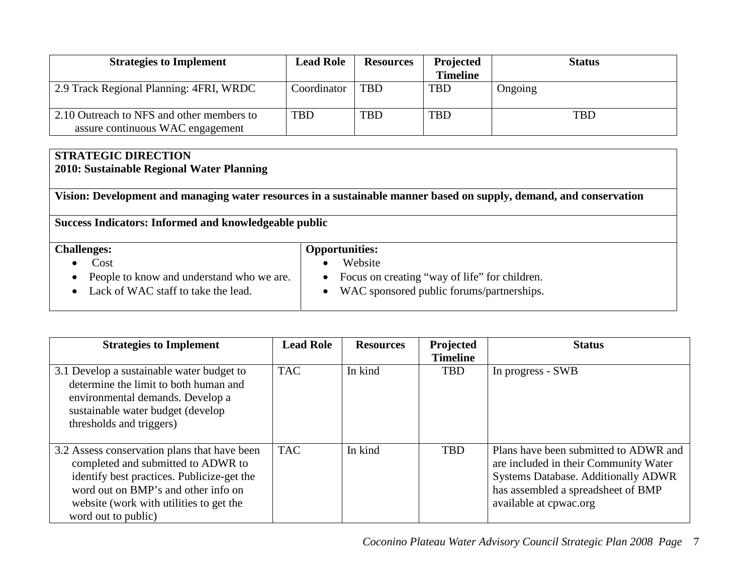| <b>Strategies to Implement</b>                                                | <b>Lead Role</b> | <b>Resources</b> | Projected       | <b>Status</b> |
|-------------------------------------------------------------------------------|------------------|------------------|-----------------|---------------|
|                                                                               |                  |                  | <b>Timeline</b> |               |
| 2.9 Track Regional Planning: 4FRI, WRDC                                       | Coordinator      | <b>TBD</b>       | TBD             | Ongoing       |
| 2.10 Outreach to NFS and other members to<br>assure continuous WAC engagement | <b>TBD</b>       | <b>TBD</b>       | <b>TBD</b>      | <b>TBD</b>    |

### **STRATEGIC DIRECTION 2010: Sustainable Regional Water Planning**

**Vision: Development and managing water resources in a sustainable manner based on supply, demand, and conservation**

**Success Indicators: Informed and knowledgeable public**

| <b>Challenges:</b>                        | <b>Opportunities:</b>                         |
|-------------------------------------------|-----------------------------------------------|
| Cost                                      | Website                                       |
| People to know and understand who we are. | Focus on creating "way of life" for children. |
| Lack of WAC staff to take the lead.       | WAC sponsored public forums/partnerships.     |
|                                           |                                               |

| <b>Strategies to Implement</b>                                                                                                                                                                                                            | <b>Lead Role</b> | <b>Resources</b> | Projected<br><b>Timeline</b> | <b>Status</b>                                                                                                                                                                                |
|-------------------------------------------------------------------------------------------------------------------------------------------------------------------------------------------------------------------------------------------|------------------|------------------|------------------------------|----------------------------------------------------------------------------------------------------------------------------------------------------------------------------------------------|
| 3.1 Develop a sustainable water budget to<br>determine the limit to both human and<br>environmental demands. Develop a<br>sustainable water budget (develop<br>thresholds and triggers)                                                   | <b>TAC</b>       | In kind          | <b>TBD</b>                   | In progress - SWB                                                                                                                                                                            |
| 3.2 Assess conservation plans that have been<br>completed and submitted to ADWR to<br>identify best practices. Publicize-get the<br>word out on BMP's and other info on<br>website (work with utilities to get the<br>word out to public) | <b>TAC</b>       | In kind          | <b>TBD</b>                   | Plans have been submitted to ADWR and<br>are included in their Community Water<br><b>Systems Database. Additionally ADWR</b><br>has assembled a spreadsheet of BMP<br>available at cpwac.org |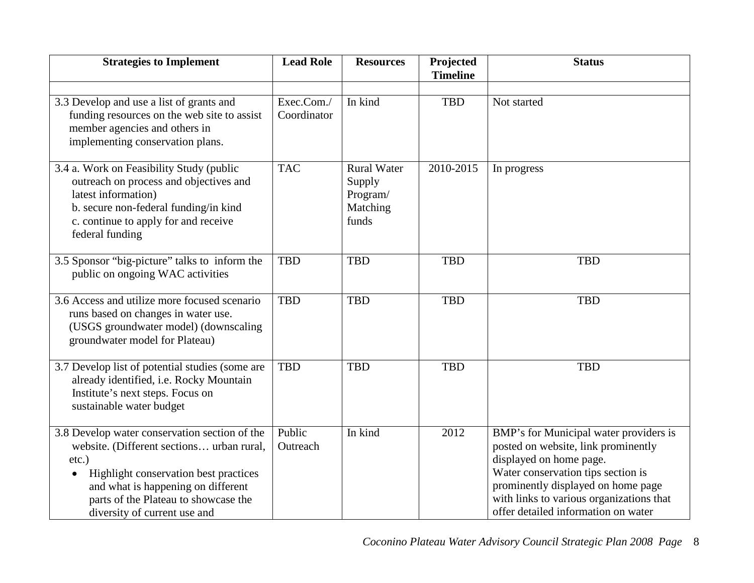| <b>Strategies to Implement</b>                                                                                                                                                                                                                                             | <b>Lead Role</b>          | <b>Resources</b>                                              | Projected<br><b>Timeline</b> | <b>Status</b>                                                                                                                                                                                                                                                           |
|----------------------------------------------------------------------------------------------------------------------------------------------------------------------------------------------------------------------------------------------------------------------------|---------------------------|---------------------------------------------------------------|------------------------------|-------------------------------------------------------------------------------------------------------------------------------------------------------------------------------------------------------------------------------------------------------------------------|
| 3.3 Develop and use a list of grants and<br>funding resources on the web site to assist<br>member agencies and others in<br>implementing conservation plans.                                                                                                               | Exec.Com./<br>Coordinator | In kind                                                       | <b>TBD</b>                   | Not started                                                                                                                                                                                                                                                             |
| 3.4 a. Work on Feasibility Study (public<br>outreach on process and objectives and<br>latest information)<br>b. secure non-federal funding/in kind<br>c. continue to apply for and receive<br>federal funding                                                              | <b>TAC</b>                | <b>Rural Water</b><br>Supply<br>Program/<br>Matching<br>funds | 2010-2015                    | In progress                                                                                                                                                                                                                                                             |
| 3.5 Sponsor "big-picture" talks to inform the<br>public on ongoing WAC activities                                                                                                                                                                                          | <b>TBD</b>                | <b>TBD</b>                                                    | <b>TBD</b>                   | <b>TBD</b>                                                                                                                                                                                                                                                              |
| 3.6 Access and utilize more focused scenario<br>runs based on changes in water use.<br>(USGS groundwater model) (downscaling<br>groundwater model for Plateau)                                                                                                             | <b>TBD</b>                | <b>TBD</b>                                                    | <b>TBD</b>                   | <b>TBD</b>                                                                                                                                                                                                                                                              |
| 3.7 Develop list of potential studies (some are<br>already identified, i.e. Rocky Mountain<br>Institute's next steps. Focus on<br>sustainable water budget                                                                                                                 | <b>TBD</b>                | <b>TBD</b>                                                    | <b>TBD</b>                   | <b>TBD</b>                                                                                                                                                                                                                                                              |
| 3.8 Develop water conservation section of the<br>website. (Different sections urban rural,<br>$etc.$ )<br>Highlight conservation best practices<br>$\bullet$<br>and what is happening on different<br>parts of the Plateau to showcase the<br>diversity of current use and | Public<br>Outreach        | In kind                                                       | 2012                         | BMP's for Municipal water providers is<br>posted on website, link prominently<br>displayed on home page.<br>Water conservation tips section is<br>prominently displayed on home page<br>with links to various organizations that<br>offer detailed information on water |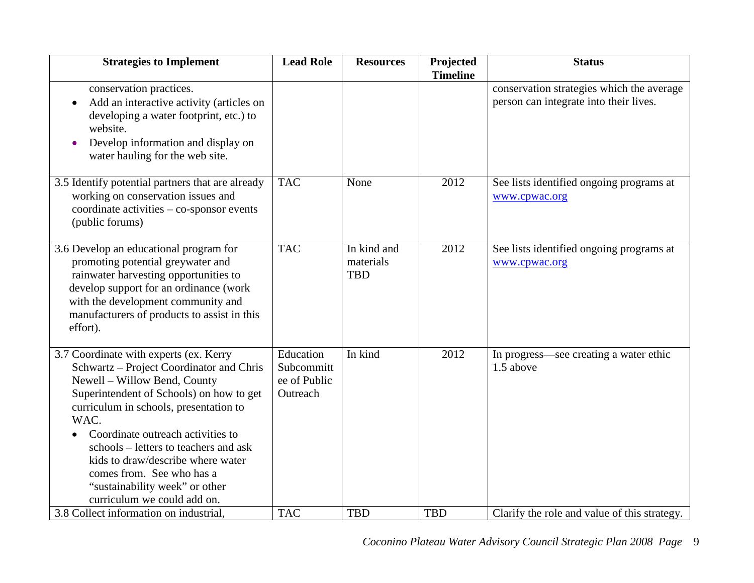| <b>Strategies to Implement</b>                                                                                                                                                                                                                                                                                                                                                                                                    | <b>Lead Role</b>                                    | <b>Resources</b>                       | Projected<br><b>Timeline</b> | <b>Status</b>                                                                       |
|-----------------------------------------------------------------------------------------------------------------------------------------------------------------------------------------------------------------------------------------------------------------------------------------------------------------------------------------------------------------------------------------------------------------------------------|-----------------------------------------------------|----------------------------------------|------------------------------|-------------------------------------------------------------------------------------|
| conservation practices.<br>Add an interactive activity (articles on<br>developing a water footprint, etc.) to<br>website.<br>Develop information and display on<br>water hauling for the web site.                                                                                                                                                                                                                                |                                                     |                                        |                              | conservation strategies which the average<br>person can integrate into their lives. |
| 3.5 Identify potential partners that are already<br>working on conservation issues and<br>coordinate activities $-$ co-sponsor events<br>(public forums)                                                                                                                                                                                                                                                                          | <b>TAC</b>                                          | None                                   | 2012                         | See lists identified ongoing programs at<br>www.cpwac.org                           |
| 3.6 Develop an educational program for<br>promoting potential greywater and<br>rainwater harvesting opportunities to<br>develop support for an ordinance (work<br>with the development community and<br>manufacturers of products to assist in this<br>effort).                                                                                                                                                                   | <b>TAC</b>                                          | In kind and<br>materials<br><b>TBD</b> | 2012                         | See lists identified ongoing programs at<br>www.cpwac.org                           |
| 3.7 Coordinate with experts (ex. Kerry<br>Schwartz - Project Coordinator and Chris<br>Newell - Willow Bend, County<br>Superintendent of Schools) on how to get<br>curriculum in schools, presentation to<br>WAC.<br>Coordinate outreach activities to<br>schools – letters to teachers and ask<br>kids to draw/describe where water<br>comes from. See who has a<br>"sustainability week" or other<br>curriculum we could add on. | Education<br>Subcommitt<br>ee of Public<br>Outreach | In kind                                | 2012                         | In progress—see creating a water ethic<br>1.5 above                                 |
| 3.8 Collect information on industrial,                                                                                                                                                                                                                                                                                                                                                                                            | <b>TAC</b>                                          | <b>TBD</b>                             | <b>TBD</b>                   | Clarify the role and value of this strategy.                                        |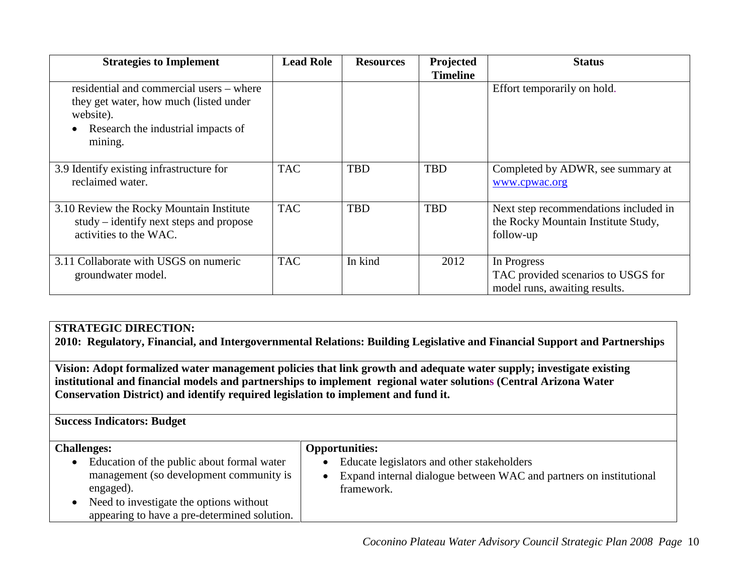| <b>Strategies to Implement</b>                                                                                                                   | <b>Lead Role</b> | <b>Resources</b> | Projected<br><b>Timeline</b> | <b>Status</b>                                                                             |
|--------------------------------------------------------------------------------------------------------------------------------------------------|------------------|------------------|------------------------------|-------------------------------------------------------------------------------------------|
| residential and commercial users – where<br>they get water, how much (listed under<br>website).<br>Research the industrial impacts of<br>mining. |                  |                  |                              | Effort temporarily on hold.                                                               |
| 3.9 Identify existing infrastructure for<br>reclaimed water.                                                                                     | <b>TAC</b>       | <b>TBD</b>       | <b>TBD</b>                   | Completed by ADWR, see summary at<br>www.cpwac.org                                        |
| 3.10 Review the Rocky Mountain Institute<br>study – identify next steps and propose<br>activities to the WAC.                                    | <b>TAC</b>       | <b>TBD</b>       | <b>TBD</b>                   | Next step recommendations included in<br>the Rocky Mountain Institute Study,<br>follow-up |
| 3.11 Collaborate with USGS on numeric<br>groundwater model.                                                                                      | <b>TAC</b>       | In kind          | 2012                         | In Progress<br>TAC provided scenarios to USGS for<br>model runs, awaiting results.        |

## **STRATEGIC DIRECTION:**

**2010: Regulatory, Financial, and Intergovernmental Relations: Building Legislative and Financial Support and Partnerships**

**Vision: Adopt formalized water management policies that link growth and adequate water supply; investigate existing institutional and financial models and partnerships to implement regional water solutions (Central Arizona Water Conservation District) and identify required legislation to implement and fund it.**

**Success Indicators: Budget**

| <b>Challenges:</b>                           | <b>Opportunities:</b>                                              |
|----------------------------------------------|--------------------------------------------------------------------|
| Education of the public about formal water   | Educate legislators and other stakeholders                         |
| management (so development community is      | Expand internal dialogue between WAC and partners on institutional |
| engaged).                                    | framework.                                                         |
| Need to investigate the options without      |                                                                    |
| appearing to have a pre-determined solution. |                                                                    |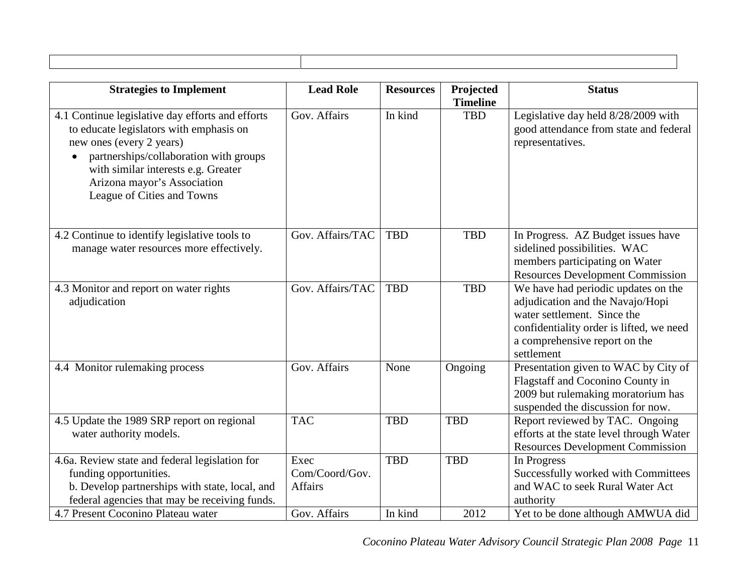| <b>Strategies to Implement</b>                                                                                                                                                                                                                                        | <b>Lead Role</b>                                         | <b>Resources</b>      | Projected              | <b>Status</b>                                                                                                                                                                                     |
|-----------------------------------------------------------------------------------------------------------------------------------------------------------------------------------------------------------------------------------------------------------------------|----------------------------------------------------------|-----------------------|------------------------|---------------------------------------------------------------------------------------------------------------------------------------------------------------------------------------------------|
| 4.1 Continue legislative day efforts and efforts<br>to educate legislators with emphasis on<br>new ones (every 2 years)<br>partnerships/collaboration with groups<br>with similar interests e.g. Greater<br>Arizona mayor's Association<br>League of Cities and Towns | Gov. Affairs                                             | In kind               | <b>Timeline</b><br>TBD | Legislative day held 8/28/2009 with<br>good attendance from state and federal<br>representatives.                                                                                                 |
| 4.2 Continue to identify legislative tools to<br>manage water resources more effectively.                                                                                                                                                                             | Gov. Affairs/TAC                                         | <b>TBD</b>            | TBD                    | In Progress. AZ Budget issues have<br>sidelined possibilities. WAC<br>members participating on Water<br><b>Resources Development Commission</b>                                                   |
| 4.3 Monitor and report on water rights<br>adjudication                                                                                                                                                                                                                | Gov. Affairs/TAC                                         | <b>TBD</b>            | TBD                    | We have had periodic updates on the<br>adjudication and the Navajo/Hopi<br>water settlement. Since the<br>confidentiality order is lifted, we need<br>a comprehensive report on the<br>settlement |
| 4.4 Monitor rulemaking process                                                                                                                                                                                                                                        | Gov. Affairs                                             | None                  | Ongoing                | Presentation given to WAC by City of<br>Flagstaff and Coconino County in<br>2009 but rulemaking moratorium has<br>suspended the discussion for now.                                               |
| 4.5 Update the 1989 SRP report on regional<br>water authority models.                                                                                                                                                                                                 | <b>TAC</b>                                               | <b>TBD</b>            | <b>TBD</b>             | Report reviewed by TAC. Ongoing<br>efforts at the state level through Water<br><b>Resources Development Commission</b>                                                                            |
| 4.6a. Review state and federal legislation for<br>funding opportunities.<br>b. Develop partnerships with state, local, and<br>federal agencies that may be receiving funds.<br>4.7 Present Coconino Plateau water                                                     | Exec<br>Com/Coord/Gov.<br><b>Affairs</b><br>Gov. Affairs | <b>TBD</b><br>In kind | <b>TBD</b><br>2012     | In Progress<br>Successfully worked with Committees<br>and WAC to seek Rural Water Act<br>authority<br>Yet to be done although AMWUA did                                                           |